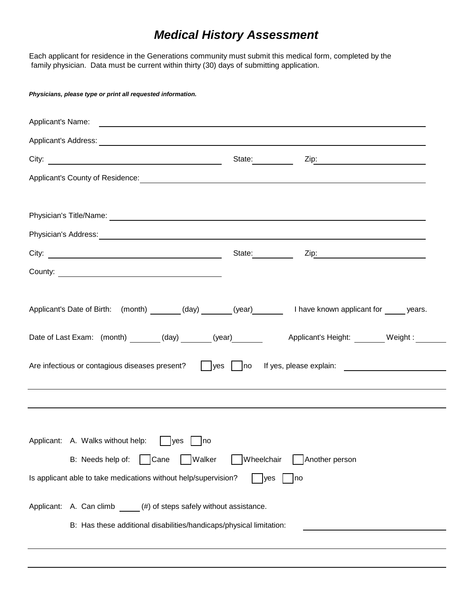## *Medical History Assessment*

Each applicant for residence in the Generations community must submit this medical form, completed by the family physician. Data must be current within thirty (30) days of submitting application.

| Physicians, please type or print all requested information.                                                                                                                                                                         |                   |                  |  |
|-------------------------------------------------------------------------------------------------------------------------------------------------------------------------------------------------------------------------------------|-------------------|------------------|--|
|                                                                                                                                                                                                                                     |                   |                  |  |
| Applicant's Address: Applicant of the Applicant of Applicant of Applicant of Applicant of Applicant of Applicant of Applicant of Applicant of Applicant of Applicant of Applicant of Applicant of Applicant of Applicant of Ap      |                   |                  |  |
|                                                                                                                                                                                                                                     | State: __________ |                  |  |
|                                                                                                                                                                                                                                     |                   |                  |  |
|                                                                                                                                                                                                                                     |                   |                  |  |
| Physician's Title/Name: <u>Department</u> of the control of the control of the control of the control of the control of the control of the control of the control of the control of the control of the control of the control of th |                   |                  |  |
| Physician's Address: <u>Communications and Communications and Communications and Communications and Communications</u>                                                                                                              |                   |                  |  |
| City:                                                                                                                                                                                                                               |                   | State: Zip: Zip: |  |
| County:                                                                                                                                                                                                                             |                   |                  |  |
|                                                                                                                                                                                                                                     |                   |                  |  |
| Applicant's Date of Birth: (month) _______(day) ______(year) _______ I have known applicant for _____ years.                                                                                                                        |                   |                  |  |
| Date of Last Exam: (month) _______(day) ______(year) ______<br>Applicant's Height: Weight: Weight:                                                                                                                                  |                   |                  |  |
| Are infectious or contagious diseases present? yes no If yes, please explain:                                                                                                                                                       |                   |                  |  |
|                                                                                                                                                                                                                                     |                   |                  |  |
|                                                                                                                                                                                                                                     |                   |                  |  |
|                                                                                                                                                                                                                                     |                   |                  |  |
| Applicant: A. Walks without help:<br>Ives<br>Ino                                                                                                                                                                                    |                   |                  |  |
| B: Needs help of:<br>Cane<br>Walker                                                                                                                                                                                                 | Wheelchair        | Another person   |  |
| Is applicant able to take medications without help/supervision?<br>yes<br> no                                                                                                                                                       |                   |                  |  |
|                                                                                                                                                                                                                                     |                   |                  |  |
| (#) of steps safely without assistance.<br>Applicant:<br>A. Can climb                                                                                                                                                               |                   |                  |  |
| B: Has these additional disabilities/handicaps/physical limitation:                                                                                                                                                                 |                   |                  |  |
|                                                                                                                                                                                                                                     |                   |                  |  |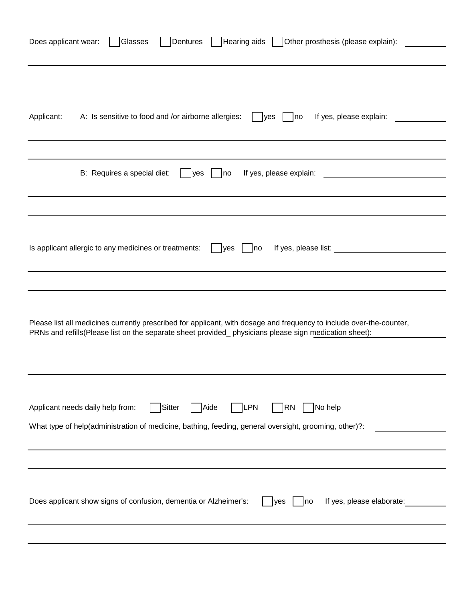| Dentures Hearing aids Other prosthesis (please explain):<br>Does applicant wear:<br>Glasses                          |  |  |  |
|----------------------------------------------------------------------------------------------------------------------|--|--|--|
|                                                                                                                      |  |  |  |
|                                                                                                                      |  |  |  |
|                                                                                                                      |  |  |  |
| A: Is sensitive to food and /or airborne allergies:<br>If yes, please explain:<br>Applicant:<br>yes<br> no           |  |  |  |
|                                                                                                                      |  |  |  |
|                                                                                                                      |  |  |  |
| B: Requires a special diet:<br>If yes, please explain:<br>yes<br> no                                                 |  |  |  |
|                                                                                                                      |  |  |  |
|                                                                                                                      |  |  |  |
|                                                                                                                      |  |  |  |
| If yes, please list: ________<br>Is applicant allergic to any medicines or treatments:<br>yes<br>no                  |  |  |  |
|                                                                                                                      |  |  |  |
|                                                                                                                      |  |  |  |
|                                                                                                                      |  |  |  |
| Please list all medicines currently prescribed for applicant, with dosage and frequency to include over-the-counter, |  |  |  |
| PRNs and refills(Please list on the separate sheet provided_physicians please sign medication sheet):                |  |  |  |
|                                                                                                                      |  |  |  |
|                                                                                                                      |  |  |  |
|                                                                                                                      |  |  |  |
| Sitter<br>Applicant needs daily help from:<br>Aide<br><b>LPN</b><br><b>RN</b><br>No help                             |  |  |  |
| What type of help(administration of medicine, bathing, feeding, general oversight, grooming, other)?:                |  |  |  |
|                                                                                                                      |  |  |  |
|                                                                                                                      |  |  |  |
|                                                                                                                      |  |  |  |
| Does applicant show signs of confusion, dementia or Alzheimer's:<br>If yes, please elaborate:<br> no <br><b>yes</b>  |  |  |  |
|                                                                                                                      |  |  |  |
|                                                                                                                      |  |  |  |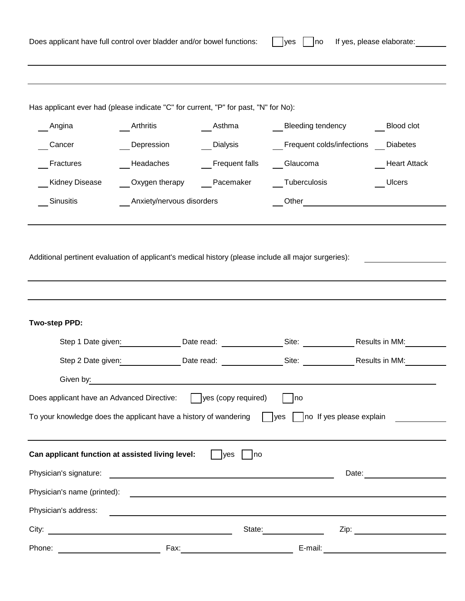| Does applicant have full control over bladder and/or bowel functions:<br>If yes, please elaborate:<br>n <sub>o</sub><br>lyes |                                                                                                                       |                            |                                                                                 |                             |  |
|------------------------------------------------------------------------------------------------------------------------------|-----------------------------------------------------------------------------------------------------------------------|----------------------------|---------------------------------------------------------------------------------|-----------------------------|--|
|                                                                                                                              |                                                                                                                       |                            |                                                                                 |                             |  |
| Has applicant ever had (please indicate "C" for current, "P" for past, "N" for No):                                          |                                                                                                                       |                            |                                                                                 |                             |  |
| Angina                                                                                                                       | Arthritis                                                                                                             | Asthma                     | Bleeding tendency                                                               | Blood clot                  |  |
| Cancer                                                                                                                       | Depression                                                                                                            | __ Dialysis                | __ Frequent colds/infections __ Diabetes                                        |                             |  |
| Fractures                                                                                                                    | Headaches                                                                                                             | Frequent falls             | __Glaucoma                                                                      | <b>Heart Attack</b>         |  |
| Kidney Disease                                                                                                               | __Oxygen therapy                                                                                                      | Pacemaker                  | __Tuberculosis                                                                  | <b>Ulcers</b>               |  |
| Sinusitis                                                                                                                    | Anxiety/nervous disorders                                                                                             |                            |                                                                                 |                             |  |
| <b>Two-step PPD:</b><br>Step 2 Date given:<br>Given by:                                                                      | Step 1 Date given:                                                                                                    | Date read:                 | Date read: Site: Site: Results in MM:<br><b>Site:</b> Site:                     | Results in MM:              |  |
| Does applicant have an Advanced Directive:                                                                                   |                                                                                                                       | $\log$ yes (copy required) | no                                                                              |                             |  |
| To your knowledge does the applicant have a history of wandering                                                             |                                                                                                                       |                            | no If yes please explain<br><b>ves</b>                                          |                             |  |
| Can applicant function at assisted living level:                                                                             |                                                                                                                       | yes<br>no                  |                                                                                 |                             |  |
| Physician's signature:                                                                                                       | <u> 1980 - Johann Stoff, deutscher Stoff, der Stoff, der Stoff, der Stoff, der Stoff, der Stoff, der Stoff, der S</u> |                            | Date:                                                                           |                             |  |
| Physician's name (printed):                                                                                                  |                                                                                                                       |                            | <u> 1980 - Andrea Andrew Maria (h. 1980).</u><br>1901 - Andrew Maria (h. 1902). |                             |  |
| Physician's address:                                                                                                         |                                                                                                                       |                            |                                                                                 |                             |  |
| City:                                                                                                                        | <u> 1980 - Johann Barnett, fransk politik (f. 1980)</u>                                                               | State:                     |                                                                                 | Zip: $\qquad \qquad \qquad$ |  |
| Phone:                                                                                                                       | $\overline{\phantom{a}}$<br>Fax: $\qquad \qquad$                                                                      |                            | E-mail:                                                                         |                             |  |